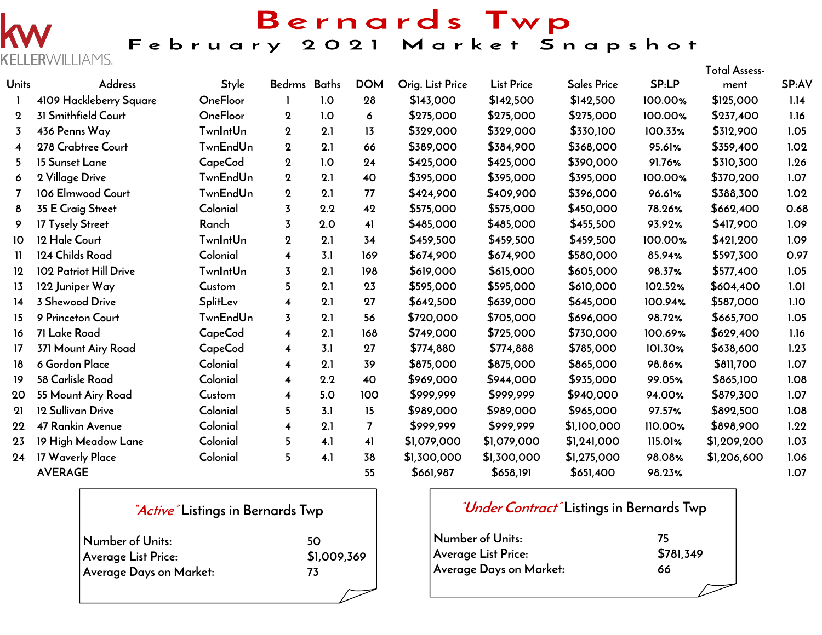## Bernards Twp

February 2021 Market Snapshot

|                         |                         |                 |                         |     |                |                  |                   |                    |         | Total Assess- |       |
|-------------------------|-------------------------|-----------------|-------------------------|-----|----------------|------------------|-------------------|--------------------|---------|---------------|-------|
| Units                   | <b>Address</b>          | Style           | Bedrms Baths            |     | <b>DOM</b>     | Orig. List Price | <b>List Price</b> | <b>Sales Price</b> | SP:LP   | ment          | SP:AV |
|                         | 4109 Hackleberry Square | OneFloor        |                         | 1.0 | 28             | \$143,000        | \$142,500         | \$142,500          | 100.00% | \$125,000     | 1.14  |
| $\mathbf 2$             | 31 Smithfield Court     | <b>OneFloor</b> | $\mathbf 2$             | 1.0 | 6              | \$275,000        | \$275,000         | \$275,000          | 100.00% | \$237,400     | 1.16  |
| $\overline{3}$          | 436 Penns Way           | <b>TwnIntUn</b> | $\mathbf 2$             | 2.1 | 13             | \$329,000        | \$329,000         | \$330,100          | 100.33% | \$312,900     | 1.05  |
| $\overline{\mathbf{4}}$ | 278 Crabtree Court      | <b>TwnEndUn</b> | $\boldsymbol{2}$        | 2.1 | 66             | \$389,000        | \$384,900         | \$368,000          | 95.61%  | \$359,400     | 1.02  |
| 5.                      | 15 Sunset Lane          | CapeCod         | $\boldsymbol{2}$        | 1.0 | 24             | \$425,000        | \$425,000         | \$390,000          | 91.76%  | \$310,300     | 1.26  |
| 6                       | 2 Village Drive         | <b>TwnEndUn</b> | $\mathbf 2$             | 2.1 | 40             | \$395,000        | \$395,000         | \$395,000          | 100.00% | \$370,200     | 1.07  |
|                         | 106 Elmwood Court       | <b>TwnEndUn</b> | $\mathbf 2$             | 2.1 | 77             | \$424,900        | \$409,900         | \$396,000          | 96.61%  | \$388,300     | 1.02  |
| 8                       | 35 E Craig Street       | Colonial        | $\overline{3}$          | 2.2 | 42             | \$575,000        | \$575,000         | \$450,000          | 78.26%  | \$662,400     | 0.68  |
| 9                       | 17 Tysely Street        | Ranch           | $\overline{3}$          | 2.0 | 41             | \$485,000        | \$485,000         | \$455,500          | 93.92%  | \$417,900     | 1.09  |
| 10                      | 12 Hale Court           | <b>TwnIntUn</b> | $\mathbf 2$             | 2.1 | 34             | \$459,500        | \$459,500         | \$459,500          | 100.00% | \$421,200     | 1.09  |
| 11                      | 124 Childs Road         | Colonial        | 4                       | 3.1 | 169            | \$674,900        | \$674,900         | \$580,000          | 85.94%  | \$597,300     | 0.97  |
| $12 \,$                 | 102 Patriot Hill Drive  | <b>TwnIntUn</b> | $\overline{3}$          | 2.1 | 198            | \$619,000        | \$615,000         | \$605,000          | 98.37%  | \$577,400     | 1.05  |
| 13                      | 122 Juniper Way         | Custom          | 5                       | 2.1 | 23             | \$595,000        | \$595,000         | \$610,000          | 102.52% | \$604,400     | 1.01  |
| 14                      | 3 Shewood Drive         | SplitLev        | 4                       | 2.1 | 27             | \$642,500        | \$639,000         | \$645,000          | 100.94% | \$587,000     | 1.10  |
| 15                      | 9 Princeton Court       | <b>TwnEndUn</b> | 3                       | 2.1 | 56             | \$720,000        | \$705,000         | \$696,000          | 98.72%  | \$665,700     | 1.05  |
| 16                      | 71 Lake Road            | <b>CapeCod</b>  | 4                       | 2.1 | 168            | \$749,000        | \$725,000         | \$730,000          | 100.69% | \$629,400     | 1.16  |
| 17                      | 371 Mount Airy Road     | <b>CapeCod</b>  | $\overline{\mathbf{4}}$ | 3.1 | 27             | \$774,880        | \$774,888         | \$785,000          | 101.30% | \$638,600     | 1.23  |
| 18                      | 6 Gordon Place          | Colonial        | $\overline{\mathbf{4}}$ | 2.1 | 39             | \$875,000        | \$875,000         | \$865,000          | 98.86%  | \$811,700     | 1.07  |
| 19                      | 58 Carlisle Road        | Colonial        | 4                       | 2.2 | 40             | \$969,000        | \$944,000         | \$935,000          | 99.05%  | \$865,100     | 1.08  |
| 20                      | 55 Mount Airy Road      | Custom          | $\overline{\mathbf{4}}$ | 5.0 | 100            | \$999,999        | \$999,999         | \$940,000          | 94.00%  | \$879,300     | 1.07  |
| 21                      | 12 Sullivan Drive       | Colonial        | 5                       | 3.1 | 15             | \$989,000        | \$989,000         | \$965,000          | 97.57%  | \$892,500     | 1.08  |
| 22                      | 47 Rankin Avenue        | Colonial        | 4                       | 2.1 | $\overline{7}$ | \$999,999        | \$999,999         | \$1,100,000        | 110.00% | \$898,900     | 1.22  |
| 23                      | 19 High Meadow Lane     | Colonial        | 5                       | 4.1 | 41             | \$1,079,000      | \$1,079,000       | \$1,241,000        | 115.01% | \$1,209,200   | 1.03  |
| 24                      | 17 Waverly Place        | Colonial        | 5                       | 4.1 | 38             | \$1,300,000      | \$1,300,000       | \$1,275,000        | 98.08%  | \$1,206,600   | 1.06  |
|                         | <b>AVERAGE</b>          |                 |                         |     | 55             | \$661,987        | \$658,191         | \$651,400          | 98.23%  |               | 1.07  |

|                         | <i>Active</i> Listings in Bernards Twp |  |  |  |  |  |  |  |
|-------------------------|----------------------------------------|--|--|--|--|--|--|--|
| Number of Units:        | 50                                     |  |  |  |  |  |  |  |
| Average List Price:     | \$1,009,369                            |  |  |  |  |  |  |  |
| Average Days on Market: | 73                                     |  |  |  |  |  |  |  |
|                         |                                        |  |  |  |  |  |  |  |

**RWILLIAMS.** 

### **"Under Contract" Listings in Bernards Twp**

| Number of Units:        | 75        |
|-------------------------|-----------|
| Average List Price:     | \$781,349 |
| Average Days on Market: | 66        |
|                         |           |